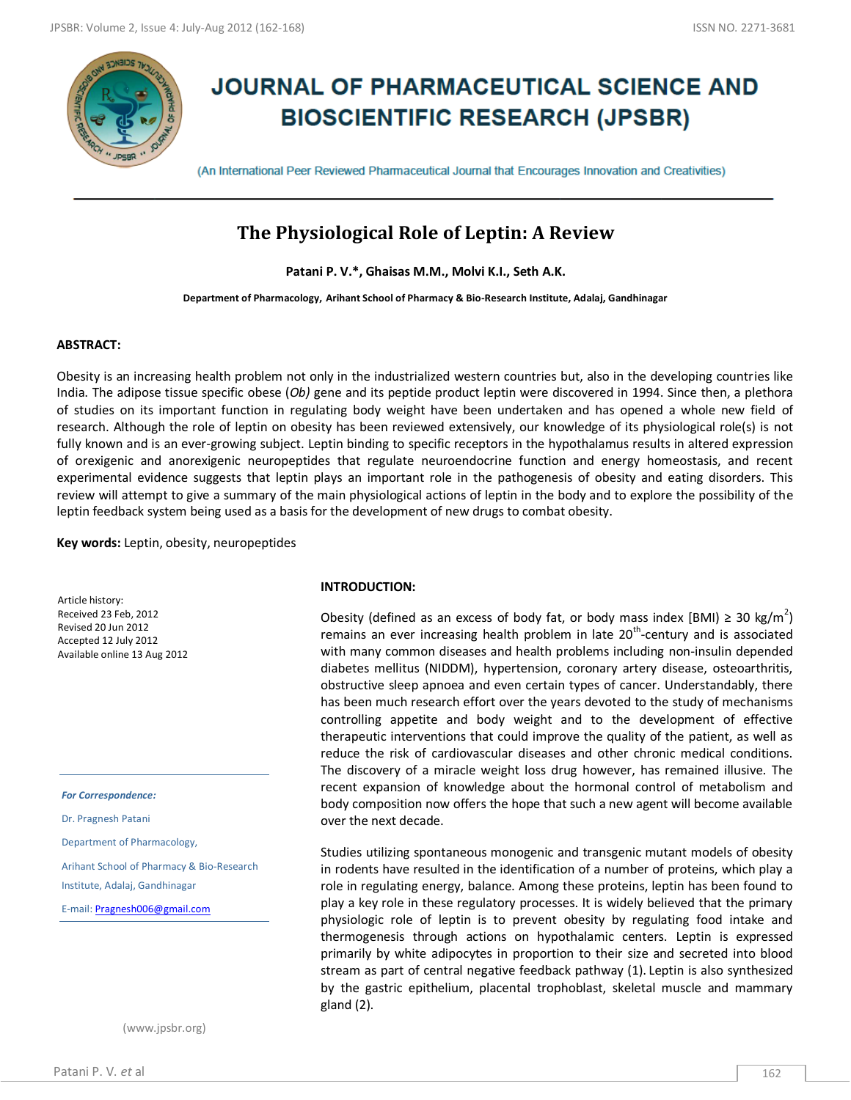

# **JOURNAL OF PHARMACEUTICAL SCIENCE AND BIOSCIENTIFIC RESEARCH (JPSBR)**

(An International Peer Reviewed Pharmaceutical Journal that Encourages Innovation and Creativities)

# **The Physiological Role of Leptin: A Review**

**Patani P. V.\*, Ghaisas M.M., Molvi K.I., Seth A.K.**

**Department of Pharmacology, Arihant School of Pharmacy & Bio-Research Institute, Adalaj, Gandhinagar**

# **ABSTRACT:**

Obesity is an increasing health problem not only in the industrialized western countries but, also in the developing countries like India. The adipose tissue specific obese (*Ob)* gene and its peptide product leptin were discovered in 1994. Since then, a plethora of studies on its important function in regulating body weight have been undertaken and has opened a whole new field of research. Although the role of leptin on obesity has been reviewed extensively, our knowledge of its physiological role(s) is not fully known and is an ever-growing subject. Leptin binding to specific receptors in the hypothalamus results in altered expression of orexigenic and anorexigenic neuropeptides that regulate neuroendocrine function and energy homeostasis, and recent experimental evidence suggests that leptin plays an important role in the pathogenesis of obesity and eating disorders. This review will attempt to give a summary of the main physiological actions of leptin in the body and to explore the possibility of the leptin feedback system being used as a basis for the development of new drugs to combat obesity.

**Key words:** Leptin, obesity, neuropeptides

Article history: Received 23 Feb, 2012 Revised 20 Jun 2012 Accepted 12 July 2012 Available online 13 Aug 2012

*For Correspondence:*

Dr. Pragnesh Patani

Department of Pharmacology,

Arihant School of Pharmacy & Bio-Research

Institute, Adalaj, Gandhinagar

E-mail[: Pragnesh006@gmail.com](mailto:Pragnesh006@gmail.com)

(www.jpsbr.org)

## **INTRODUCTION:**

Obesity (defined as an excess of body fat, or body mass index [BMI)  $\geq 30$  kg/m<sup>2</sup>) remains an ever increasing health problem in late  $20<sup>th</sup>$ -century and is associated with many common diseases and health problems including non-insulin depended diabetes mellitus (NIDDM), hypertension, coronary artery disease, osteoarthritis, obstructive sleep apnoea and even certain types of cancer. Understandably, there has been much research effort over the years devoted to the study of mechanisms controlling appetite and body weight and to the development of effective therapeutic interventions that could improve the quality of the patient, as well as reduce the risk of cardiovascular diseases and other chronic medical conditions. The discovery of a miracle weight loss drug however, has remained illusive. The recent expansion of knowledge about the hormonal control of metabolism and body composition now offers the hope that such a new agent will become available over the next decade.

Studies utilizing spontaneous monogenic and transgenic mutant models of obesity in rodents have resulted in the identification of a number of proteins, which play a role in regulating energy, balance. Among these proteins, leptin has been found to play a key role in these regulatory processes. It is widely believed that the primary physiologic role of leptin is to prevent obesity by regulating food intake and thermogenesis through actions on hypothalamic centers. Leptin is expressed primarily by white adipocytes in proportion to their size and secreted into blood stream as part of central negative feedback pathway (1). Leptin is also synthesized by the gastric epithelium, placental trophoblast, skeletal muscle and mammary gland (2).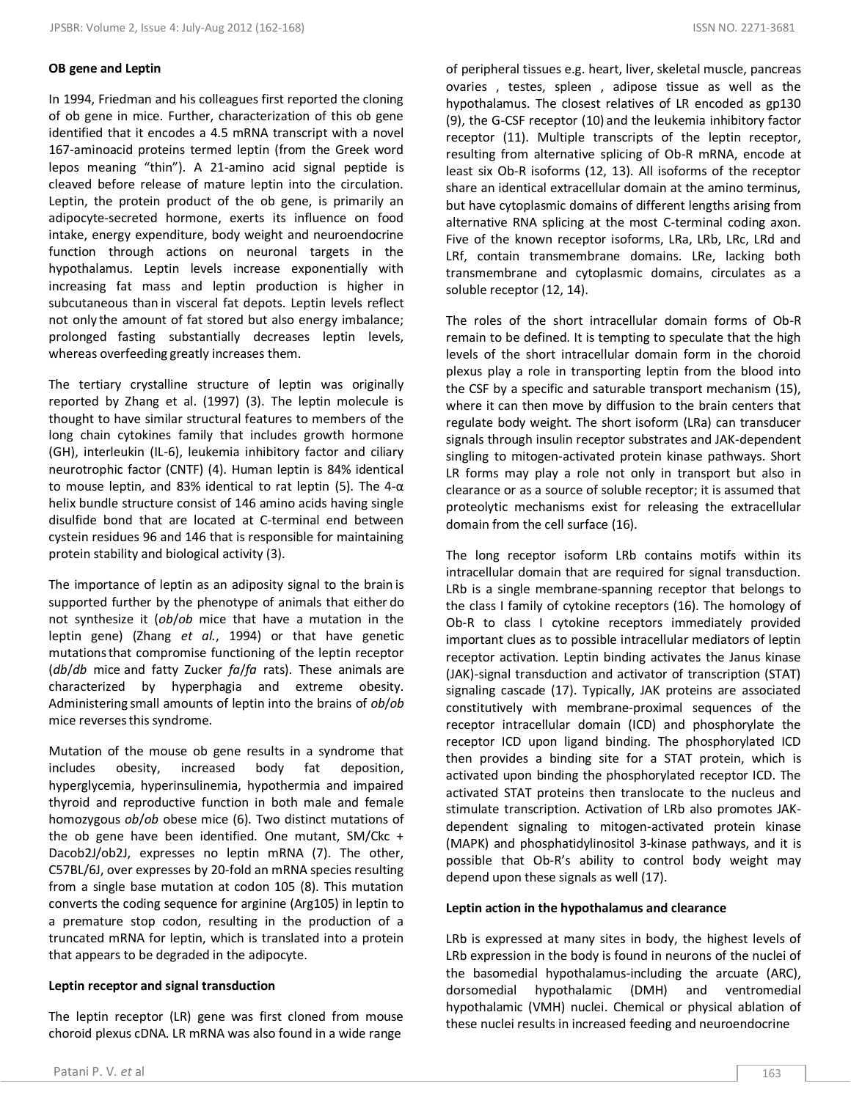## **OB gene and Leptin**

In 1994, Friedman and his colleagues first reported the cloning of ob gene in mice. Further, characterization of this ob gene identified that it encodes a 4.5 mRNA transcript with a novel 167-aminoacid proteins termed leptin (from the Greek word lepos meaning "thin"). A 21-amino acid signal peptide is cleaved before release of mature leptin into the circulation. Leptin, the protein product of the ob gene, is primarily an adipocyte-secreted hormone, exerts its influence on food intake, energy expenditure, body weight and neuroendocrine function through actions on neuronal targets in the hypothalamus. Leptin levels increase exponentially with increasing fat mass and leptin production is higher in subcutaneous than in visceral fat depots. Leptin levels reflect not only the amount of fat stored but also energy imbalance; prolonged fasting substantially decreases leptin levels, whereas overfeeding greatly increases them.

The tertiary crystalline structure of leptin was originally reported by Zhang et al. (1997) (3). The leptin molecule is thought to have similar structural features to members of the long chain cytokines family that includes growth hormone (GH), interleukin (IL-6), leukemia inhibitory factor and ciliary neurotrophic factor (CNTF) (4). Human leptin is 84% identical to mouse leptin, and 83% identical to rat leptin (5). The 4-α helix bundle structure consist of 146 amino acids having single disulfide bond that are located at C-terminal end between cystein residues 96 and 146 that is responsible for maintaining protein stability and biological activity (3).

The importance of leptin as an adiposity signal to the brain is supported further by the phenotype of animals that either do not synthesize it (*ob*/*ob* mice that have a mutation in the leptin gene) (Zhang *et al.*, 1994) or that have genetic mutationsthat compromise functioning of the leptin receptor (*db*/*db* mice and fatty Zucker *fa*/*fa* rats). These animals are characterized by hyperphagia and extreme obesity. Administering small amounts of leptin into the brains of *ob*/*ob* mice reversesthis syndrome.

Mutation of the mouse ob gene results in a syndrome that includes obesity, increased body fat deposition, hyperglycemia, hyperinsulinemia, hypothermia and impaired thyroid and reproductive function in both male and female homozygous *ob*/*ob* obese mice (6). Two distinct mutations of the ob gene have been identified. One mutant, SM/Ckc + Dacob2J/ob2J, expresses no leptin mRNA (7). The other, C57BL/6J, over expresses by 20-fold an mRNA species resulting from a single base mutation at codon 105 (8). This mutation converts the coding sequence for arginine (Arg105) in leptin to a premature stop codon, resulting in the production of a truncated mRNA for leptin, which is translated into a protein that appears to be degraded in the adipocyte.

## **Leptin receptor and signal transduction**

The leptin receptor (LR) gene was first cloned from mouse choroid plexus cDNA. LR mRNA was also found in a wide range

of peripheral tissues e.g. heart, liver, skeletal muscle, pancreas ovaries , testes, spleen , adipose tissue as well as the hypothalamus. The closest relatives of LR encoded as gp130 (9), the G-CSF receptor (10) and the leukemia inhibitory factor receptor (11). Multiple transcripts of the leptin receptor, resulting from alternative splicing of Ob-R mRNA, encode at least six Ob-R isoforms (12, 13). All isoforms of the receptor share an identical extracellular domain at the amino terminus, but have cytoplasmic domains of different lengths arising from alternative RNA splicing at the most C-terminal coding axon. Five of the known receptor isoforms, LRa, LRb, LRc, LRd and LRf, contain transmembrane domains. LRe, lacking both transmembrane and cytoplasmic domains, circulates as a soluble receptor (12, 14).

The roles of the short intracellular domain forms of Ob-R remain to be defined. It is tempting to speculate that the high levels of the short intracellular domain form in the choroid plexus play a role in transporting leptin from the blood into the CSF by a specific and saturable transport mechanism (15), where it can then move by diffusion to the brain centers that regulate body weight. The short isoform (LRa) can transducer signals through insulin receptor substrates and JAK-dependent singling to mitogen-activated protein kinase pathways. Short LR forms may play a role not only in transport but also in clearance or as a source of soluble receptor; it is assumed that proteolytic mechanisms exist for releasing the extracellular domain from the cell surface (16).

The long receptor isoform LRb contains motifs within its intracellular domain that are required for signal transduction. LRb is a single membrane-spanning receptor that belongs to the class I family of cytokine receptors (16). The homology of Ob-R to class I cytokine receptors immediately provided important clues as to possible intracellular mediators of leptin receptor activation. Leptin binding activates the Janus kinase (JAK)-signal transduction and activator of transcription (STAT) signaling cascade (17). Typically, JAK proteins are associated constitutively with membrane-proximal sequences of the receptor intracellular domain (ICD) and phosphorylate the receptor ICD upon ligand binding. The phosphorylated ICD then provides a binding site for a STAT protein, which is activated upon binding the phosphorylated receptor ICD. The activated STAT proteins then translocate to the nucleus and stimulate transcription. Activation of LRb also promotes JAKdependent signaling to mitogen-activated protein kinase (MAPK) and phosphatidylinositol 3-kinase pathways, and it is possible that Ob-R's ability to control body weight may depend upon these signals as well (17).

## **Leptin action in the hypothalamus and clearance**

LRb is expressed at many sites in body, the highest levels of LRb expression in the body is found in neurons of the nuclei of the basomedial hypothalamus-including the arcuate (ARC), dorsomedial hypothalamic (DMH) and ventromedial hypothalamic (VMH) nuclei. Chemical or physical ablation of these nuclei results in increased feeding and neuroendocrine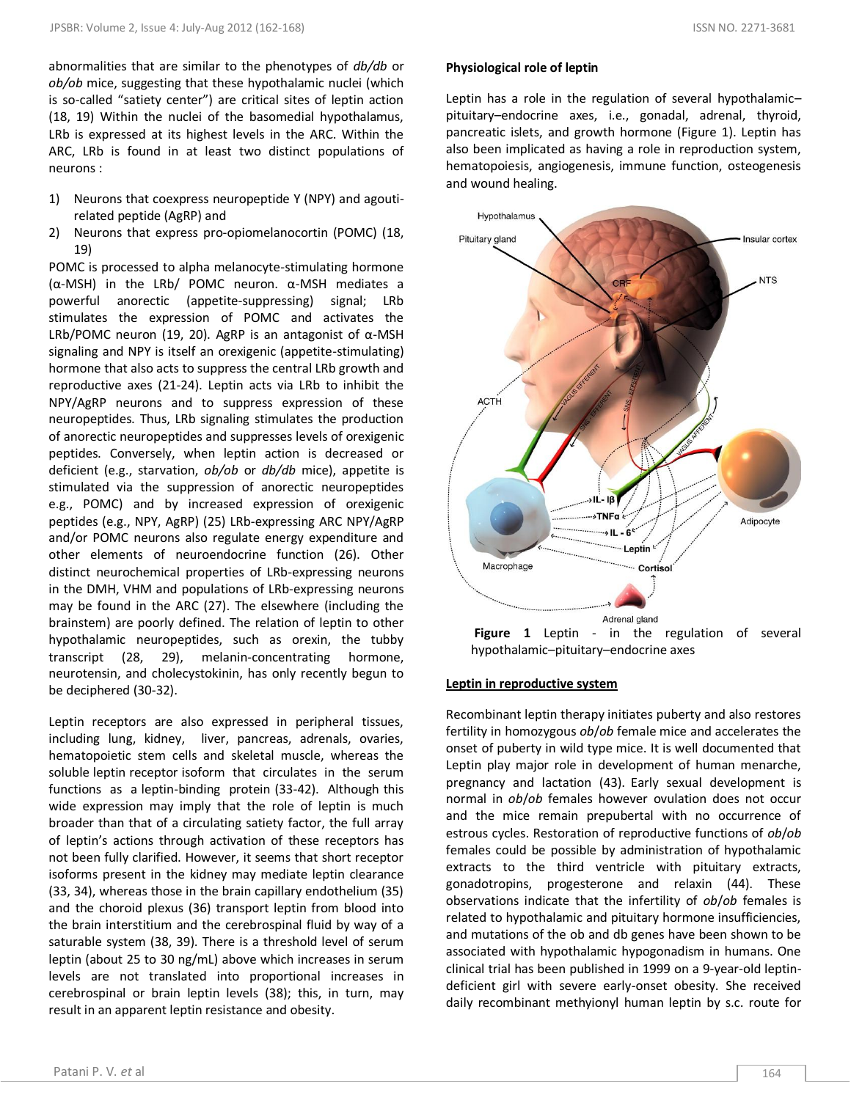abnormalities that are similar to the phenotypes of *db/db* or *ob/ob* mice, suggesting that these hypothalamic nuclei (which is so-called "satiety center") are critical sites of leptin action (18, 19) Within the nuclei of the basomedial hypothalamus, LRb is expressed at its highest levels in the ARC. Within the ARC, LRb is found in at least two distinct populations of neurons :

- 1) Neurons that coexpress neuropeptide Y (NPY) and agoutirelated peptide (AgRP) and
- 2) Neurons that express pro-opiomelanocortin (POMC) (18, 19)

POMC is processed to alpha melanocyte-stimulating hormone (α-MSH) in the LRb/ POMC neuron. α-MSH mediates a powerful anorectic (appetite-suppressing) signal; LRb stimulates the expression of POMC and activates the LRb/POMC neuron (19, 20). AgRP is an antagonist of  $\alpha$ -MSH signaling and NPY is itself an orexigenic (appetite-stimulating) hormone that also acts to suppress the central LRb growth and reproductive axes (21-24). Leptin acts via LRb to inhibit the NPY/AgRP neurons and to suppress expression of these neuropeptides. Thus, LRb signaling stimulates the production of anorectic neuropeptides and suppresses levels of orexigenic peptides. Conversely, when leptin action is decreased or deficient (e.g., starvation, *ob/ob* or *db/db* mice), appetite is stimulated via the suppression of anorectic neuropeptides e.g., POMC) and by increased expression of orexigenic peptides (e.g., NPY, AgRP) (25) LRb-expressing ARC NPY/AgRP and/or POMC neurons also regulate energy expenditure and other elements of neuroendocrine function (26). Other distinct neurochemical properties of LRb-expressing neurons in the DMH, VHM and populations of LRb-expressing neurons may be found in the ARC (27). The elsewhere (including the brainstem) are poorly defined. The relation of leptin to other hypothalamic neuropeptides, such as orexin, the tubby transcript (28, 29), melanin-concentrating hormone, neurotensin, and cholecystokinin, has only recently begun to be deciphered (30-32).

Leptin receptors are also expressed in peripheral tissues, including lung, kidney, liver, pancreas, adrenals, ovaries, hematopoietic stem cells and skeletal muscle, whereas the soluble leptin receptor isoform that circulates in the serum functions as a leptin-binding protein (33-42). Although this wide expression may imply that the role of leptin is much broader than that of a circulating satiety factor, the full array of leptin's actions through activation of these receptors has not been fully clarified. However, it seems that short receptor isoforms present in the kidney may mediate leptin clearance (33, 34), whereas those in the brain capillary endothelium (35) and the choroid plexus (36) transport leptin from blood into the brain interstitium and the cerebrospinal fluid by way of a saturable system (38, 39). There is a threshold level of serum leptin (about 25 to 30 ng/mL) above which increases in serum levels are not translated into proportional increases in cerebrospinal or brain leptin levels (38); this, in turn, may result in an apparent leptin resistance and obesity.

# **Physiological role of leptin**

Leptin has a role in the regulation of several hypothalamic– pituitary–endocrine axes, i.e., gonadal, adrenal, thyroid, pancreatic islets, and growth hormone (Figure 1). Leptin has also been implicated as having a role in reproduction system, hematopoiesis, angiogenesis, immune function, osteogenesis and wound healing.



## **Leptin in reproductive system**

Recombinant leptin therapy initiates puberty and also restores fertility in homozygous *ob*/*ob* female mice and accelerates the onset of puberty in wild type mice. It is well documented that Leptin play major role in development of human menarche, pregnancy and lactation (43). Early sexual development is normal in *ob*/*ob* females however ovulation does not occur and the mice remain prepubertal with no occurrence of estrous cycles. Restoration of reproductive functions of *ob*/*ob* females could be possible by administration of hypothalamic extracts to the third ventricle with pituitary extracts, gonadotropins, progesterone and relaxin (44). These observations indicate that the infertility of *ob*/*ob* females is related to hypothalamic and pituitary hormone insufficiencies, and mutations of the ob and db genes have been shown to be associated with hypothalamic hypogonadism in humans. One clinical trial has been published in 1999 on a 9-year-old leptindeficient girl with severe early-onset obesity. She received daily recombinant methyionyl human leptin by s.c. route for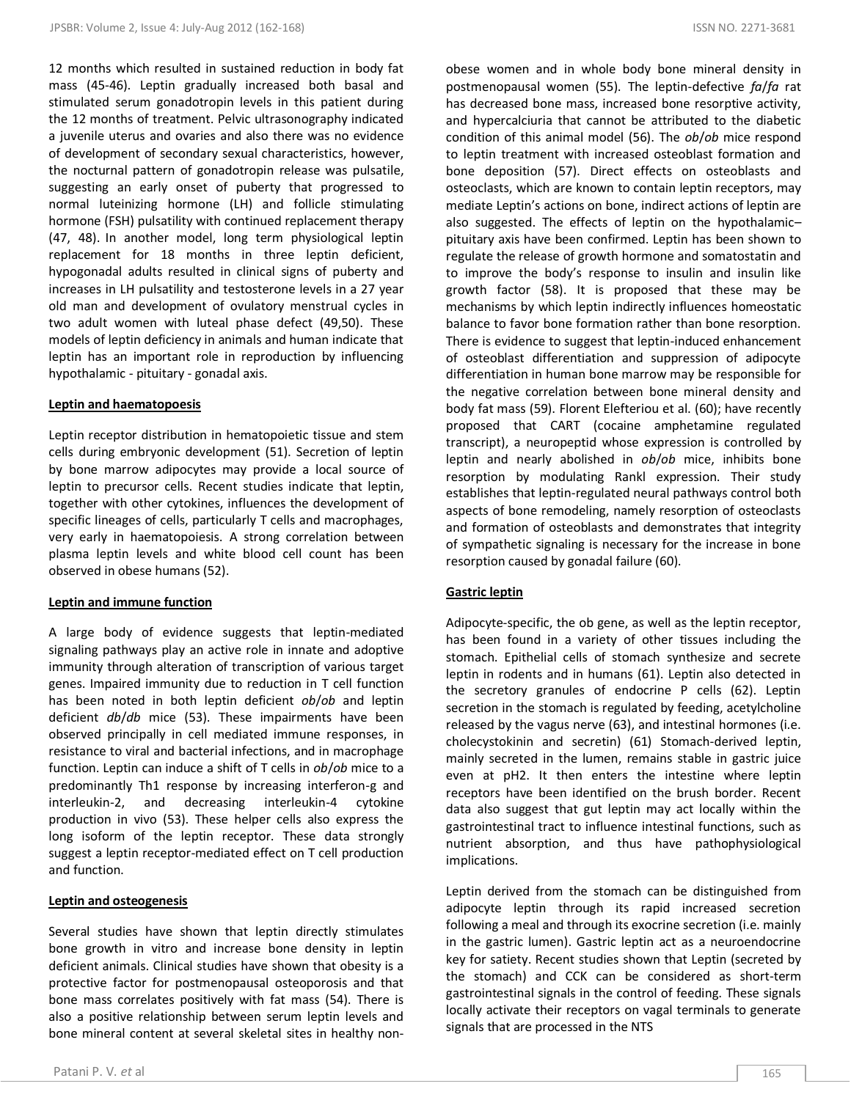12 months which resulted in sustained reduction in body fat mass (45-46). Leptin gradually increased both basal and stimulated serum gonadotropin levels in this patient during the 12 months of treatment. Pelvic ultrasonography indicated a juvenile uterus and ovaries and also there was no evidence of development of secondary sexual characteristics, however, the nocturnal pattern of gonadotropin release was pulsatile, suggesting an early onset of puberty that progressed to normal luteinizing hormone (LH) and follicle stimulating hormone (FSH) pulsatility with continued replacement therapy (47, 48). In another model, long term physiological leptin replacement for 18 months in three leptin deficient, hypogonadal adults resulted in clinical signs of puberty and increases in LH pulsatility and testosterone levels in a 27 year old man and development of ovulatory menstrual cycles in two adult women with luteal phase defect (49,50). These models of leptin deficiency in animals and human indicate that leptin has an important role in reproduction by influencing hypothalamic - pituitary - gonadal axis.

# **Leptin and haematopoesis**

Leptin receptor distribution in hematopoietic tissue and stem cells during embryonic development (51). Secretion of leptin by bone marrow adipocytes may provide a local source of leptin to precursor cells. Recent studies indicate that leptin, together with other cytokines, influences the development of specific lineages of cells, particularly T cells and macrophages, very early in haematopoiesis. A strong correlation between plasma leptin levels and white blood cell count has been observed in obese humans (52).

## **Leptin and immune function**

A large body of evidence suggests that leptin-mediated signaling pathways play an active role in innate and adoptive immunity through alteration of transcription of various target genes. Impaired immunity due to reduction in T cell function has been noted in both leptin deficient *ob*/*ob* and leptin deficient *db*/*db* mice (53). These impairments have been observed principally in cell mediated immune responses, in resistance to viral and bacterial infections, and in macrophage function. Leptin can induce a shift of T cells in *ob*/*ob* mice to a predominantly Th1 response by increasing interferon-g and interleukin-2, and decreasing interleukin-4 cytokine production in vivo (53). These helper cells also express the long isoform of the leptin receptor. These data strongly suggest a leptin receptor-mediated effect on T cell production and function.

# **Leptin and osteogenesis**

Several studies have shown that leptin directly stimulates bone growth in vitro and increase bone density in leptin deficient animals. Clinical studies have shown that obesity is a protective factor for postmenopausal osteoporosis and that bone mass correlates positively with fat mass (54). There is also a positive relationship between serum leptin levels and bone mineral content at several skeletal sites in healthy non-

obese women and in whole body bone mineral density in postmenopausal women (55). The leptin-defective *fa*/*fa* rat has decreased bone mass, increased bone resorptive activity, and hypercalciuria that cannot be attributed to the diabetic condition of this animal model (56). The *ob*/*ob* mice respond to leptin treatment with increased osteoblast formation and bone deposition (57). Direct effects on osteoblasts and osteoclasts, which are known to contain leptin receptors, may mediate Leptin's actions on bone, indirect actions of leptin are also suggested. The effects of leptin on the hypothalamic– pituitary axis have been confirmed. Leptin has been shown to regulate the release of growth hormone and somatostatin and to improve the body's response to insulin and insulin like growth factor (58). It is proposed that these may be mechanisms by which leptin indirectly influences homeostatic balance to favor bone formation rather than bone resorption. There is evidence to suggest that leptin-induced enhancement of osteoblast differentiation and suppression of adipocyte differentiation in human bone marrow may be responsible for the negative correlation between bone mineral density and body fat mass (59). [Florent Elefteriou](javascript:void(0);) et al. (60); have recently proposed that CART (cocaine amphetamine regulated transcript), a neuropeptid whose expression is controlled by leptin and nearly abolished in *ob*/*ob* mice, inhibits bone resorption by modulating Rankl expression. Their study establishes that leptin-regulated neural pathways control both aspects of bone remodeling, namely resorption of osteoclasts and formation of osteoblasts and demonstrates that integrity of sympathetic signaling is necessary for the increase in bone resorption caused by gonadal failure (60).

# **Gastric leptin**

Adipocyte-specific, the ob gene, as well as the leptin receptor, has been found in a variety of other tissues including the stomach. Epithelial cells of stomach synthesize and secrete leptin in rodents and in humans (61). Leptin also detected in the secretory granules of endocrine P cells (62). Leptin secretion in the stomach is regulated by feeding, acetylcholine released by the vagus nerve (63), and intestinal hormones (i.e. cholecystokinin and secretin) (61) Stomach-derived leptin, mainly secreted in the lumen, remains stable in gastric juice even at pH2. It then enters the intestine where leptin receptors have been identified on the brush border. Recent data also suggest that gut leptin may act locally within the gastrointestinal tract to influence intestinal functions, such as nutrient absorption, and thus have pathophysiological implications.

Leptin derived from the stomach can be distinguished from adipocyte leptin through its rapid increased secretion following a meal and through its exocrine secretion (i.e. mainly in the gastric lumen). Gastric leptin act as a neuroendocrine key for satiety. Recent studies shown that Leptin (secreted by the stomach) and CCK can be considered as short-term gastrointestinal signals in the control of feeding. These signals locally activate their receptors on vagal terminals to generate signals that are processed in the NTS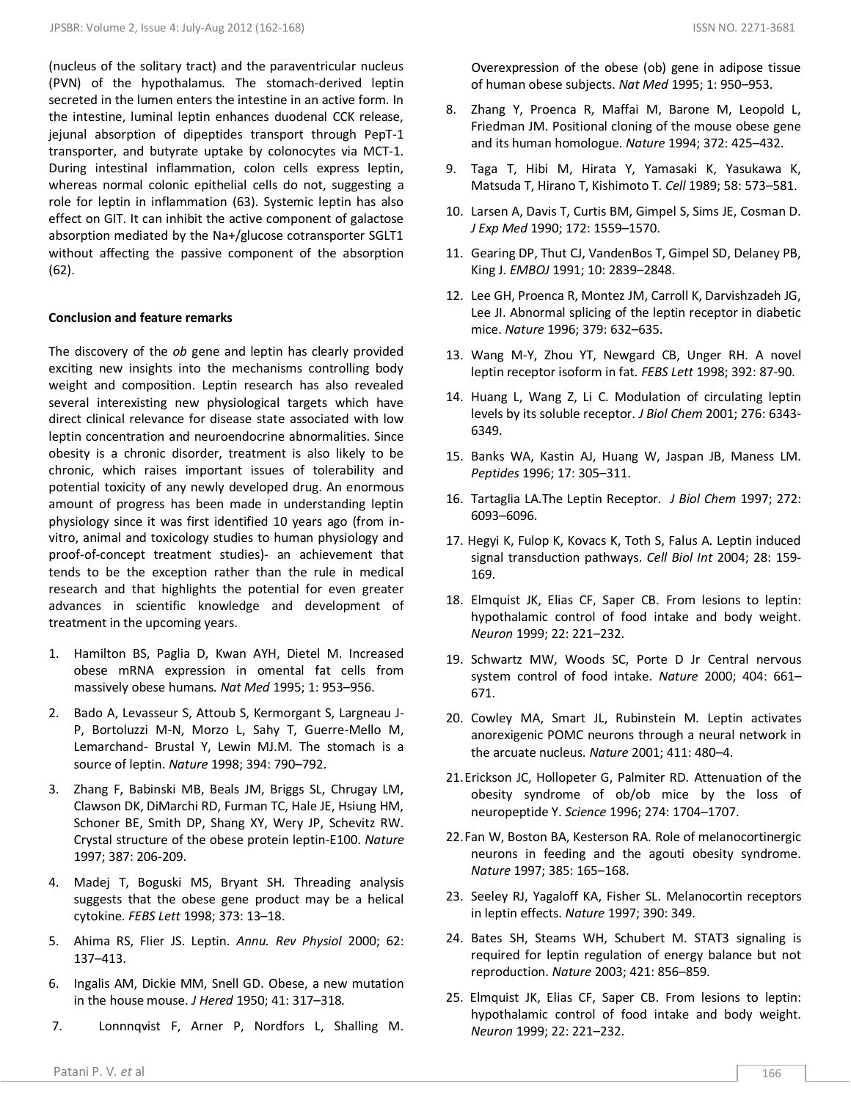(nucleus of the solitary tract) and the paraventricular nucleus (PVN) of the hypothalamus. The stomach-derived leptin secreted in the lumen enters the intestine in an active form. In the intestine, luminal leptin enhances duodenal CCK release, jejunal absorption of dipeptides transport through PepT-1 transporter, and butyrate uptake by colonocytes via MCT-1. During intestinal inflammation, colon cells express leptin, whereas normal colonic epithelial cells do not, suggesting a role for leptin in inflammation (63). Systemic leptin has also effect on GIT. It can inhibit the active component of galactose absorption mediated by the Na+/glucose cotransporter SGLT1 without affecting the passive component of the absorption (62).

#### **Conclusion and feature remarks**

The discovery of the *ob* gene and leptin has clearly provided exciting new insights into the mechanisms controlling body weight and composition. Leptin research has also revealed several interexisting new physiological targets which have direct clinical relevance for disease state associated with low leptin concentration and neuroendocrine abnormalities. Since obesity is a chronic disorder, treatment is also likely to be chronic, which raises important issues of tolerability and potential toxicity of any newly developed drug. An enormous amount of progress has been made in understanding leptin physiology since it was first identified 10 years ago (from invitro, animal and toxicology studies to human physiology and proof-of-concept treatment studies)- an achievement that tends to be the exception rather than the rule in medical research and that highlights the potential for even greater advances in scientific knowledge and development of treatment in the upcoming years.

- 1. Hamilton BS, Paglia D, Kwan AYH, Dietel M. Increased obese mRNA expression in omental fat cells from massively obese humans. *Nat Med* 1995; 1: 953–956.
- 2. Bado A, Levasseur S, Attoub S, Kermorgant S, Largneau J-P, Bortoluzzi M-N, Morzo L, Sahy T, Guerre-Mello M, Lemarchand- Brustal Y, Lewin MJ.M. The stomach is a source of leptin. *Nature* 1998; 394: 790–792.
- 3. Zhang F, Babinski MB, Beals JM, Briggs SL, Chrugay LM, Clawson DK, DiMarchi RD, Furman TC, Hale JE, Hsiung HM, Schoner BE, Smith DP, Shang XY, Wery JP, Schevitz RW. Crystal structure of the obese protein leptin-E100. *Nature* 1997; 387: 206-209.
- 4. Madej T, Boguski MS, Bryant SH. Threading analysis suggests that the obese gene product may be a helical cytokine. *FEBS Lett* 1998; 373: 13–18.
- 5. Ahima RS, Flier JS. Leptin. *Annu. Rev Physiol* 2000; 62: 137–413.
- 6. Ingalis AM, Dickie MM, Snell GD. Obese, a new mutation in the house mouse. *J Hered* 1950; 41: 317–318.
- 7. Lonnnqvist F, Arner P, Nordfors L, Shalling M.

 Overexpression of the obese (ob) gene in adipose tissue of human obese subjects. *Nat Med* 1995; 1: 950–953.

- 8. Zhang Y, Proenca R, Maffai M, Barone M, Leopold L, Friedman JM. Positional cloning of the mouse obese gene and its human homologue. *Nature* 1994; 372: 425–432.
- 9. Taga T, Hibi M, Hirata Y, Yamasaki K, Yasukawa K, Matsuda T, Hirano T, Kishimoto T. *Cell* 1989; 58: 573–581.
- 10. Larsen A, Davis T, Curtis BM, Gimpel S, Sims JE, Cosman D. *J Exp Med* 1990; 172: 1559–1570.
- 11. Gearing DP, Thut CJ, VandenBos T, Gimpel SD, Delaney PB, King J. *EMBOJ* 1991; 10: 2839–2848.
- 12. Lee GH, Proenca R, Montez JM, Carroll K, Darvishzadeh JG, Lee JI. Abnormal splicing of the leptin receptor in diabetic mice. *Nature* 1996; 379: 632–635.
- 13. Wang M-Y, Zhou YT, Newgard CB, Unger RH. A novel leptin receptor isoform in fat. *FEBS Lett* 1998; 392: 87-90.
- 14. Huang L, Wang Z, Li C. Modulation of circulating leptin levels by its soluble receptor. *J Biol Chem* 2001; 276: 6343- 6349.
- 15. Banks WA, Kastin AJ, Huang W, Jaspan JB, Maness LM. *Peptides* 1996; 17: 305–311.
- 16. Tartaglia LA.The Leptin Receptor. *J Biol Chem* 1997; 272: 6093–6096.
- 17. Hegyi K, Fulop K, Kovacs K, Toth S, Falus A. Leptin induced signal transduction pathways. *Cell Biol Int* 2004; 28: 159- 169.
- 18. Elmquist JK, Elias CF, Saper CB. From lesions to leptin: hypothalamic control of food intake and body weight. *Neuron* 1999; 22: 221–232.
- 19. Schwartz MW, Woods SC, Porte D Jr Central nervous system control of food intake. *Nature* 2000; 404: 661– 671.
- 20. Cowley MA, Smart JL, Rubinstein M. Leptin activates anorexigenic POMC neurons through a neural network in the arcuate nucleus. *Nature* 2001; 411: 480–4.
- 21.Erickson JC, Hollopeter G, Palmiter RD. Attenuation of the obesity syndrome of ob/ob mice by the loss of neuropeptide Y. *Science* 1996; 274: 1704–1707.
- 22.Fan W, Boston BA, Kesterson RA. Role of melanocortinergic neurons in feeding and the agouti obesity syndrome. *Nature* 1997; 385: 165–168.
- 23. Seeley RJ, Yagaloff KA, Fisher SL. Melanocortin receptors in leptin effects. *Nature* 1997; 390: 349.
- 24. Bates SH, Steams WH, Schubert M. STAT3 signaling is required for leptin regulation of energy balance but not reproduction. *Nature* 2003; 421: 856–859.
- 25. Elmquist JK, Elias CF, Saper CB. From lesions to leptin: hypothalamic control of food intake and body weight. *Neuron* 1999; 22: 221–232.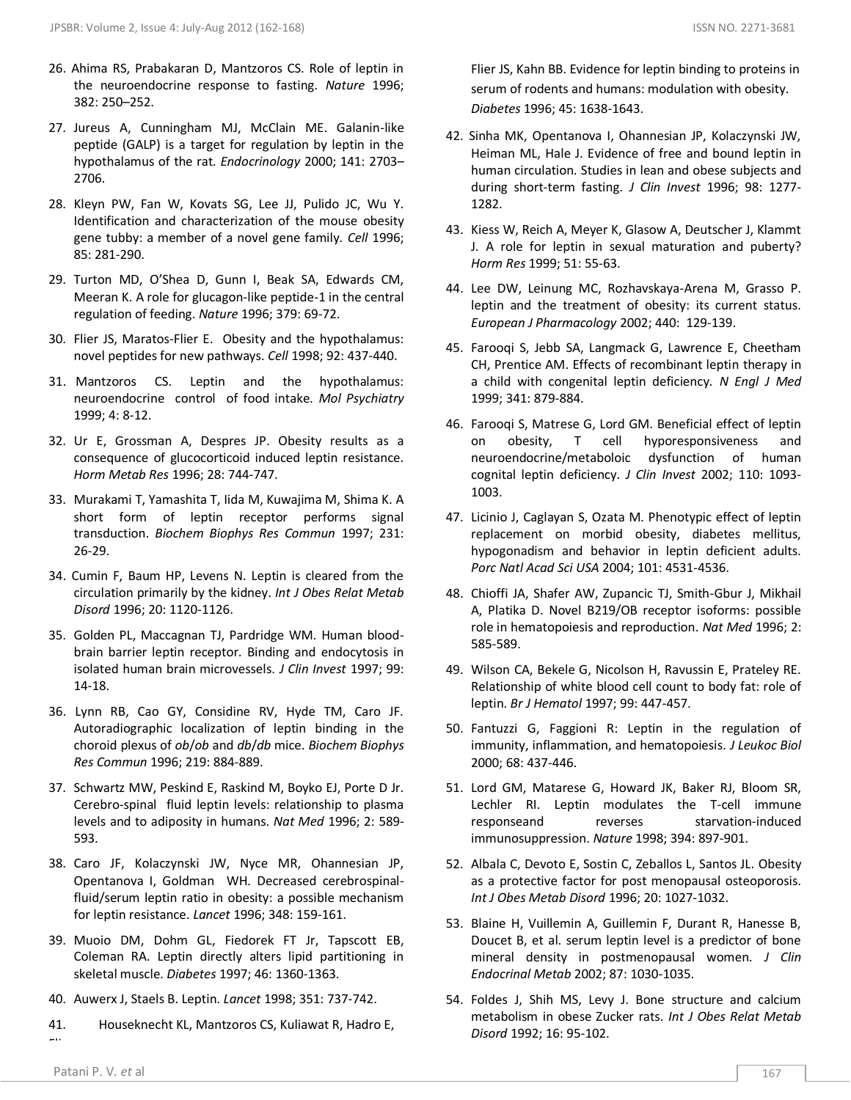- 26. Ahima RS, Prabakaran D, Mantzoros CS. Role of leptin in the neuroendocrine response to fasting. *Nature* 1996; 382: 250–252.
- 27. Jureus A, Cunningham MJ, McClain ME. Galanin-like peptide (GALP) is a target for regulation by leptin in the hypothalamus of the rat. *Endocrinology* 2000; 141: 2703– 2706.
- 28. Kleyn PW, Fan W, Kovats SG, Lee JJ, Pulido JC, Wu Y. Identification and characterization of the mouse obesity gene tubby: a member of a novel gene family. *Cell* 1996; 85: 281-290.
- 29. Turton MD, O'Shea D, Gunn I, Beak SA, Edwards CM, Meeran K. A role for glucagon-like peptide-1 in the central regulation of feeding. *Nature* 1996; 379: 69-72.
- 30. Flier JS, Maratos-Flier E. Obesity and the hypothalamus: novel peptides for new pathways. *Cell* 1998; 92: 437-440.
- 31. Mantzoros CS. Leptin and the hypothalamus: neuroendocrine control of food intake. *Mol Psychiatry* 1999; 4: 8-12.
- 32. Ur E, Grossman A, Despres JP. Obesity results as a consequence of glucocorticoid induced leptin resistance. *Horm Metab Res* 1996; 28: 744-747.
- 33. Murakami T, Yamashita T, Iida M, Kuwajima M, Shima K. A short form of leptin receptor performs signal transduction. *Biochem Biophys Res Commun* 1997; 231: 26-29.
- 34. Cumin F, Baum HP, Levens N. Leptin is cleared from the circulation primarily by the kidney. *Int J Obes Relat Metab Disord* 1996; 20: 1120-1126.
- 35. Golden PL, Maccagnan TJ, Pardridge WM. Human bloodbrain barrier leptin receptor. Binding and endocytosis in isolated human brain microvessels. *J Clin Invest* 1997; 99: 14-18.
- 36. Lynn RB, Cao GY, Considine RV, Hyde TM, Caro JF. Autoradiographic localization of leptin binding in the choroid plexus of *ob*/*ob* and *db*/*db* mice. *Biochem Biophys Res Commun* 1996; 219: 884-889.
- 37. Schwartz MW, Peskind E, Raskind M, Boyko EJ, Porte D Jr. Cerebro-spinal fluid leptin levels: relationship to plasma levels and to adiposity in humans. *Nat Med* 1996; 2: 589- 593.
- 38. Caro JF, Kolaczynski JW, Nyce MR, Ohannesian JP, Opentanova I, Goldman WH. Decreased cerebrospinalfluid/serum leptin ratio in obesity: a possible mechanism for leptin resistance. *Lancet* 1996; 348: 159-161.
- 39. Muoio DM, Dohm GL, Fiedorek FT Jr, Tapscott EB, Coleman RA. Leptin directly alters lipid partitioning in skeletal muscle. *Diabetes* 1997; 46: 1360-1363.
- 40. Auwerx J, Staels B. Leptin. *Lancet* 1998; 351: 737-742.
- 41. Houseknecht KL, Mantzoros CS, Kuliawat R, Hadro E, Flier

Flier JS, Kahn BB. Evidence for leptin binding to proteins in serum of rodents and humans: modulation with obesity. *Diabetes* 1996; 45: 1638-1643.

- 42. Sinha MK, Opentanova I, Ohannesian JP, Kolaczynski JW, Heiman ML, Hale J. Evidence of free and bound leptin in human circulation. Studies in lean and obese subjects and during short-term fasting. *J Clin Invest* 1996; 98: 1277- 1282.
- 43. Kiess W, Reich A, Meyer K, Glasow A, Deutscher J, Klammt J. A role for leptin in sexual maturation and puberty? *Horm Res* 1999; 51: 55-63.
- 44. Lee DW, Leinung MC, Rozhavskaya-Arena M, Grasso P. leptin and the treatment of obesity: its current status. *European J Pharmacology* 2002; 440: 129-139.
- 45. Farooqi S, Jebb SA, Langmack G, Lawrence E, Cheetham CH, Prentice AM. Effects of recombinant leptin therapy in a child with congenital leptin deficiency. *N Engl J Med* 1999; 341: 879-884.
- 46. Farooqi S, Matrese G, Lord GM. Beneficial effect of leptin on obesity, T cell hyporesponsiveness and neuroendocrine/metaboloic dysfunction of human cognital leptin deficiency. *J Clin Invest* 2002; 110: 1093- 1003.
- 47. Licinio J, Caglayan S, Ozata M. Phenotypic effect of leptin replacement on morbid obesity, diabetes mellitus, hypogonadism and behavior in leptin deficient adults. *Porc Natl Acad Sci USA* 2004; 101: 4531-4536.
- 48. Chioffi JA, Shafer AW, Zupancic TJ, Smith-Gbur J, Mikhail A, Platika D. Novel B219/OB receptor isoforms: possible role in hematopoiesis and reproduction. *Nat Med* 1996; 2: 585-589.
- 49. Wilson CA, Bekele G, Nicolson H, Ravussin E, Prateley RE. Relationship of white blood cell count to body fat: role of leptin. *Br J Hematol* 1997; 99: 447-457.
- 50. Fantuzzi G, Faggioni R: Leptin in the regulation of immunity, inflammation, and hematopoiesis. *J Leukoc Biol* 2000; 68: 437-446.
- 51. Lord GM, Matarese G, Howard JK, Baker RJ, Bloom SR, Lechler RI. Leptin modulates the T-cell immune responseand reverses starvation-induced immunosuppression. *Nature* 1998; 394: 897-901.
- 52. Albala C, Devoto E, Sostin C, Zeballos L, Santos JL. Obesity as a protective factor for post menopausal osteoporosis. *Int J Obes Metab Disord* 1996; 20: 1027-1032.
- 53. Blaine H, Vuillemin A, Guillemin F, Durant R, Hanesse B, Doucet B, et al. serum leptin level is a predictor of bone mineral density in postmenopausal women. *J Clin Endocrinal Metab* 2002; 87: 1030-1035.
- 54. Foldes J, Shih MS, Levy J. Bone structure and calcium metabolism in obese Zucker rats. *Int J Obes Relat Metab Disord* 1992; 16: 95-102.